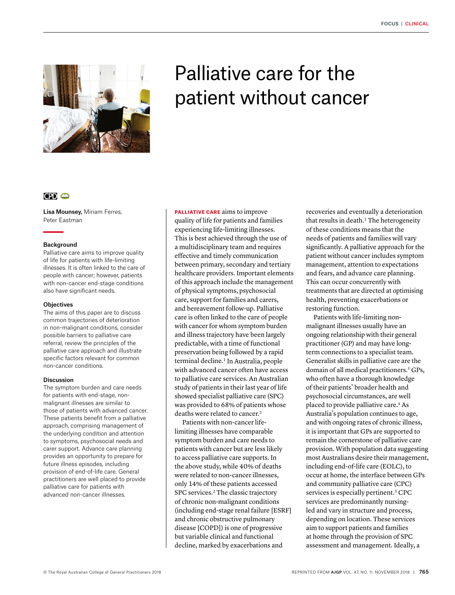

# Palliative care for the patient without cancer

# $CD<sub>o</sub>$

Lisa Mounsey, Miriam Ferres, Peter Eastman

#### Background

Palliative care aims to improve quality of life for patients with life-limiting illnesses. It is often linked to the care of people with cancer; however, patients with non-cancer end-stage conditions also have significant needs.

#### **Objectives**

The aims of this paper are to discuss common trajectories of deterioration in non-malignant conditions, consider possible barriers to palliative care referral, review the principles of the palliative care approach and illustrate specific factors relevant for common non-cancer conditions.

#### **Discussion**

The symptom burden and care needs for patients with end-stage, nonmalignant illnesses are similar to those of patients with advanced cancer. These patients benefit from a palliative approach, comprising management of the underlying condition and attention to symptoms, psychosocial needs and carer support. Advance care planning provides an opportunity to prepare for future illness episodes, including provision of end-of-life care. General practitioners are well placed to provide palliative care for patients with advanced non-cancer illnesses.

PALLIATIVE CARE aims to improve quality of life for patients and families experiencing life-limiting illnesses. This is best achieved through the use of a multidisciplinary team and requires effective and timely communication between primary, secondary and tertiary healthcare providers. Important elements of this approach include the management of physical symptoms, psychosocial care, support for families and carers, and bereavement follow-up. Palliative care is often linked to the care of people with cancer for whom symptom burden and illness trajectory have been largely predictable, with a time of functional preservation being followed by a rapid terminal decline.<sup>1</sup> In Australia, people with advanced cancer often have access to palliative care services. An Australian study of patients in their last year of life showed specialist palliative care (SPC) was provided to 68% of patients whose deaths were related to cancer.2

Patients with non-cancer lifelimiting illnesses have comparable symptom burden and care needs to patients with cancer but are less likely to access palliative care supports. In the above study, while 40% of deaths were related to non-cancer illnesses, only 14% of these patients accessed SPC services.<sup>2</sup> The classic trajectory of chronic non-malignant conditions (including end-stage renal failure [ESRF] and chronic obstructive pulmonary disease [COPD]) is one of progressive but variable clinical and functional decline, marked by exacerbations and

recoveries and eventually a deterioration that results in death.<sup>1</sup> The heterogeneity of these conditions means that the needs of patients and families will vary significantly. A palliative approach for the patient without cancer includes symptom management, attention to expectations and fears, and advance care planning. This can occur concurrently with treatments that are directed at optimising health, preventing exacerbations or restoring function.

Patients with life-limiting nonmalignant illnesses usually have an ongoing relationship with their general practitioner (GP) and may have longterm connections to a specialist team. Generalist skills in palliative care are the domain of all medical practitioners.<sup>3</sup> GPs, who often have a thorough knowledge of their patients' broader health and psychosocial circumstances, are well placed to provide palliative care.4 As Australia's population continues to age, and with ongoing rates of chronic illness, it is important that GPs are supported to remain the cornerstone of palliative care provision. With population data suggesting most Australians desire their management, including end-of-life care (EOLC), to occur at home, the interface between GPs and community palliative care (CPC) services is especially pertinent.<sup>5</sup> CPC services are predominantly nursingled and vary in structure and process, depending on location. These services aim to support patients and families at home through the provision of SPC assessment and management. Ideally, a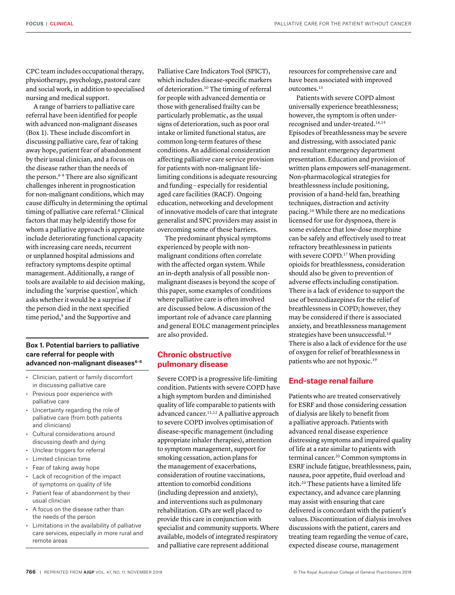CPC team includes occupational therapy, physiotherapy, psychology, pastoral care and social work, in addition to specialised nursing and medical support.

A range of barriers to palliative care referral have been identified for people with advanced non-malignant diseases (Box 1). These include discomfort in discussing palliative care, fear of taking away hope, patient fear of abandonment by their usual clinician, and a focus on the disease rather than the needs of the person.6–8 There are also significant challenges inherent in prognostication for non-malignant conditions, which may cause difficulty in determining the optimal timing of palliative care referral.<sup>8</sup> Clinical factors that may help identify those for whom a palliative approach is appropriate include deteriorating functional capacity with increasing care needs, recurrent or unplanned hospital admissions and refractory symptoms despite optimal management. Additionally, a range of tools are available to aid decision making, including the 'surprise question', which asks whether it would be a surprise if the person died in the next specified time period,<sup>9</sup> and the Supportive and

#### Box 1. Potential barriers to palliative care referral for people with advanced non-malignant diseases<sup>6-8</sup>

- Clinician, patient or family discomfort in discussing palliative care
- Previous poor experience with palliative care
- Uncertainty regarding the role of palliative care (from both patients and clinicians)
- Cultural considerations around discussing death and dying
- Unclear triggers for referral
- Limited clinician time
- Fear of taking away hope
- Lack of recognition of the impact of symptoms on quality of life
- Patient fear of abandonment by their usual clinician
- A focus on the disease rather than the needs of the person
- Limitations in the availability of palliative care services, especially in more rural and remote areas

Palliative Care Indicators Tool (SPICT), which includes disease-specific markers of deterioration.10 The timing of referral for people with advanced dementia or those with generalised frailty can be particularly problematic, as the usual signs of deterioration, such as poor oral intake or limited functional status, are common long-term features of these conditions. An additional consideration affecting palliative care service provision for patients with non-malignant lifelimiting conditions is adequate resourcing and funding – especially for residential aged care facilities (RACF). Ongoing education, networking and development of innovative models of care that integrate generalist and SPC providers may assist in overcoming some of these barriers.

The predominant physical symptoms experienced by people with nonmalignant conditions often correlate with the affected organ system. While an in-depth analysis of all possible nonmalignant diseases is beyond the scope of this paper, some examples of conditions where palliative care is often involved are discussed below. A discussion of the important role of advance care planning and general EOLC management principles are also provided.

### **Chronic obstructive pulmonary disease**

Severe COPD is a progressive life-limiting condition. Patients with severe COPD have a high symptom burden and diminished quality of life comparable to patients with advanced cancer.<sup>11,12</sup> A palliative approach to severe COPD involves optimisation of disease-specific management (including appropriate inhaler therapies), attention to symptom management, support for smoking cessation, action plans for the management of exacerbations, consideration of routine vaccinations, attention to comorbid conditions (including depression and anxiety), and interventions such as pulmonary rehabilitation. GPs are well placed to provide this care in conjunction with specialist and community supports. Where available, models of integrated respiratory and palliative care represent additional

resources for comprehensive care and have been associated with improved outcomes.13

Patients with severe COPD almost universally experience breathlessness; however, the symptom is often underrecognised and under-treated.14,15 Episodes of breathlessness may be severe and distressing, with associated panic and resultant emergency department presentation. Education and provision of written plans empowers self-management. Non-pharmacological strategies for breathlessness include positioning, provision of a hand-held fan, breathing techniques, distraction and activity pacing.16 While there are no medications licensed for use for dyspnoea, there is some evidence that low-dose morphine can be safely and effectively used to treat refractory breathlessness in patients with severe COPD.<sup>17</sup> When providing opioids for breathlessness, consideration should also be given to prevention of adverse effects including constipation. There is a lack of evidence to support the use of benzodiazepines for the relief of breathlessness in COPD; however, they may be considered if there is associated anxiety, and breathlessness management strategies have been unsuccessful.<sup>18</sup> There is also a lack of evidence for the use of oxygen for relief of breathlessness in patients who are not hypoxic.19

### **End-stage renal failure**

Patients who are treated conservatively for ESRF and those considering cessation of dialysis are likely to benefit from a palliative approach. Patients with advanced renal disease experience distressing symptoms and impaired quality of life at a rate similar to patients with terminal cancer.20 Common symptoms in ESRF include fatigue, breathlessness, pain, nausea, poor appetite, fluid overload and itch.20 These patients have a limited life expectancy, and advance care planning may assist with ensuring that care delivered is concordant with the patient's values. Discontinuation of dialysis involves discussions with the patient, carers and treating team regarding the venue of care, expected disease course, management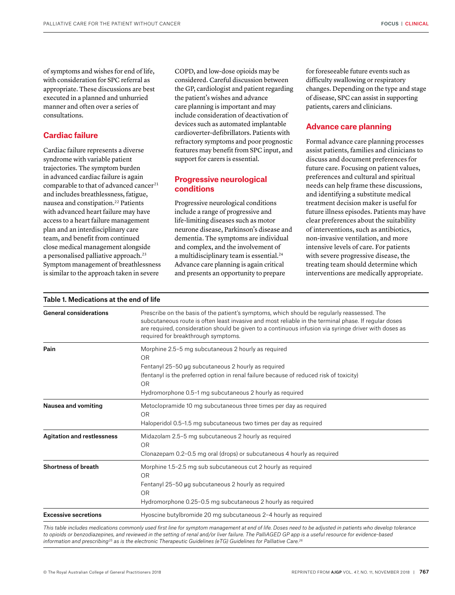of symptoms and wishes for end of life, with consideration for SPC referral as appropriate. These discussions are best executed in a planned and unhurried manner and often over a series of consultations.

# **Cardiac failure**

Cardiac failure represents a diverse syndrome with variable patient trajectories. The symptom burden in advanced cardiac failure is again comparable to that of advanced cancer<sup>21</sup> and includes breathlessness, fatigue, nausea and constipation.22 Patients with advanced heart failure may have access to a heart failure management plan and an interdisciplinary care team, and benefit from continued close medical management alongside a personalised palliative approach.<sup>23</sup> Symptom management of breathlessness is similar to the approach taken in severe

Table 1. Medications at the end of life

COPD, and low-dose opioids may be considered. Careful discussion between the GP, cardiologist and patient regarding the patient's wishes and advance care planning is important and may include consideration of deactivation of devices such as automated implantable cardioverter-defibrillators. Patients with refractory symptoms and poor prognostic features may benefit from SPC input, and support for carers is essential.

# **Progressive neurological conditions**

Progressive neurological conditions include a range of progressive and life-limiting diseases such as motor neurone disease, Parkinson's disease and dementia. The symptoms are individual and complex, and the involvement of a multidisciplinary team is essential.24 Advance care planning is again critical and presents an opportunity to prepare

for foreseeable future events such as difficulty swallowing or respiratory changes. Depending on the type and stage of disease, SPC can assist in supporting patients, carers and clinicians.

## **Advance care planning**

Formal advance care planning processes assist patients, families and clinicians to discuss and document preferences for future care. Focusing on patient values, preferences and cultural and spiritual needs can help frame these discussions, and identifying a substitute medical treatment decision maker is useful for future illness episodes. Patients may have clear preferences about the suitability of interventions, such as antibiotics, non-invasive ventilation, and more intensive levels of care. For patients with severe progressive disease, the treating team should determine which interventions are medically appropriate.

| <b>General considerations</b>     | Prescribe on the basis of the patient's symptoms, which should be regularly reassessed. The<br>subcutaneous route is often least invasive and most reliable in the terminal phase. If regular doses<br>are required, consideration should be given to a continuous infusion via syringe driver with doses as<br>required for breakthrough symptoms. |
|-----------------------------------|-----------------------------------------------------------------------------------------------------------------------------------------------------------------------------------------------------------------------------------------------------------------------------------------------------------------------------------------------------|
| Pain                              | Morphine 2.5-5 mg subcutaneous 2 hourly as required                                                                                                                                                                                                                                                                                                 |
|                                   | 0 <sub>R</sub>                                                                                                                                                                                                                                                                                                                                      |
|                                   | Fentanyl 25-50 µg subcutaneous 2 hourly as required                                                                                                                                                                                                                                                                                                 |
|                                   | (fentanyl is the preferred option in renal failure because of reduced risk of toxicity)<br><b>OR</b>                                                                                                                                                                                                                                                |
|                                   | Hydromorphone 0.5-1 mg subcutaneous 2 hourly as required                                                                                                                                                                                                                                                                                            |
| Nausea and vomiting               | Metoclopramide 10 mg subcutaneous three times per day as required                                                                                                                                                                                                                                                                                   |
|                                   | OR.                                                                                                                                                                                                                                                                                                                                                 |
|                                   | Haloperidol 0.5-1.5 mg subcutaneous two times per day as required                                                                                                                                                                                                                                                                                   |
| <b>Agitation and restlessness</b> | Midazolam 2.5-5 mg subcutaneous 2 hourly as required                                                                                                                                                                                                                                                                                                |
|                                   | OR.                                                                                                                                                                                                                                                                                                                                                 |
|                                   | Clonazepam 0.2-0.5 mg oral (drops) or subcutaneous 4 hourly as required                                                                                                                                                                                                                                                                             |
| <b>Shortness of breath</b>        | Morphine 1.5-2.5 mg sub subcutaneous cut 2 hourly as required<br>0 <sub>R</sub>                                                                                                                                                                                                                                                                     |
|                                   | Fentanyl 25-50 µg subcutaneous 2 hourly as required                                                                                                                                                                                                                                                                                                 |
|                                   | <b>OR</b>                                                                                                                                                                                                                                                                                                                                           |
|                                   | Hydromorphone 0.25-0.5 mg subcutaneous 2 hourly as required                                                                                                                                                                                                                                                                                         |
| <b>Excessive secretions</b>       | Hyoscine butylbromide 20 mg subcutaneous 2-4 hourly as required                                                                                                                                                                                                                                                                                     |
|                                   |                                                                                                                                                                                                                                                                                                                                                     |

*This table includes medications commonly used first line for symptom management at end of life. Doses need to be adjusted in patients who develop tolerance*  to opioids or benzodiazepines, and reviewed in the setting of renal and/or liver failure. The PalliAGED GP app is a useful resource for evidence-based *information and prescribing25 as is the electronic Therapeutic Guidelines (eTG) Guidelines for Palliative Care.26*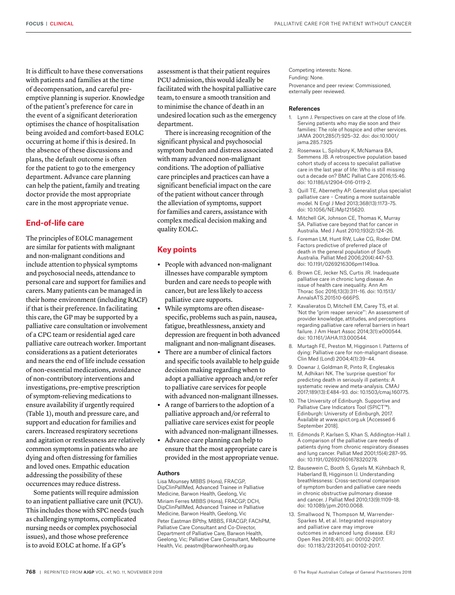It is difficult to have these conversations with patients and families at the time of decompensation, and careful preemptive planning is superior. Knowledge of the patient's preference for care in the event of a significant deterioration optimises the chance of hospitalisation being avoided and comfort-based EOLC occurring at home if this is desired. In the absence of these discussions and plans, the default outcome is often for the patient to go to the emergency department. Advance care planning can help the patient, family and treating doctor provide the most appropriate care in the most appropriate venue.

# **End-of-life care**

The principles of EOLC management are similar for patients with malignant and non-malignant conditions and include attention to physical symptoms and psychosocial needs, attendance to personal care and support for families and carers. Many patients can be managed in their home environment (including RACF) if that is their preference. In facilitating this care, the GP may be supported by a palliative care consultation or involvement of a CPC team or residential aged care palliative care outreach worker. Important considerations as a patient deteriorates and nears the end of life include cessation of non-essential medications, avoidance of non-contributory interventions and investigations, pre-emptive prescription of symptom-relieving medications to ensure availability if urgently required (Table 1), mouth and pressure care, and support and education for families and carers. Increased respiratory secretions and agitation or restlessness are relatively common symptoms in patients who are dying and often distressing for families and loved ones. Empathic education addressing the possibility of these occurrences may reduce distress.

Some patients will require admission to an inpatient palliative care unit (PCU). This includes those with SPC needs (such as challenging symptoms, complicated nursing needs or complex psychosocial issues), and those whose preference is to avoid EOLC at home. If a GP's

assessment is that their patient requires PCU admission, this would ideally be facilitated with the hospital palliative care team, to ensure a smooth transition and to minimise the chance of death in an undesired location such as the emergency department.

There is increasing recognition of the significant physical and psychosocial symptom burden and distress associated with many advanced non-malignant conditions. The adoption of palliative care principles and practices can have a significant beneficial impact on the care of the patient without cancer through the alleviation of symptoms, support for families and carers, assistance with complex medical decision making and quality EOLC.

#### **Key points**

- **•** People with advanced non-malignant illnesses have comparable symptom burden and care needs to people with cancer, but are less likely to access palliative care supports.
- **•** While symptoms are often diseasespecific, problems such as pain, nausea, fatigue, breathlessness, anxiety and depression are frequent in both advanced malignant and non-malignant diseases.
- **•** There are a number of clinical factors and specific tools available to help guide decision making regarding when to adopt a palliative approach and/or refer to palliative care services for people with advanced non-malignant illnesses.
- **•** A range of barriers to the adoption of a palliative approach and/or referral to palliative care services exist for people with advanced non-malignant illnesses.
- **•** Advance care planning can help to ensure that the most appropriate care is provided in the most appropriate venue.

#### Authors

Lisa Mounsey MBBS (Hons), FRACGP, DipClinPallMed, Advanced Trainee in Palliative Medicine, Barwon Health, Geelong, Vic Miriam Ferres MBBS (Hons), FRACGP, DCH, DipClinPallMed, Advanced Trainee in Palliative Medicine, Barwon Health, Geelong, Vic Peter Eastman BPthy, MBBS, FRACGP, FAChPM, Palliative Care Consultant and Co-Director, Department of Palliative Care, Barwon Health, Geelong, Vic; Palliative Care Consultant, Melbourne Health, Vic. peastm@barwonhealth.org.au

Competing interests: None. Funding: None. Provenance and peer review: Commissioned, externally peer reviewed.

#### References

- 1. Lynn J. Perspectives on care at the close of life. Serving patients who may die soon and their families: The role of hospice and other services. JAMA 2001;285(7):925–32. doi: doi:10.1001/ jama.285.7.925
- 2. Rosenwax L, Spilsbury K, McNamara BA, Semmens JB. A retrospective population based cohort study of access to specialist palliative care in the last year of life: Who is still missing out a decade on? BMC Palliat Care 2016;15:46. doi: 10.1186/s12904-016-0119-2.
- 3. Quill TE, Abernethy AP. Generalist plus specialist palliative care – Creating a more sustainable model. N Engl J Med 2013;368(13):1173–75. doi: 10.1056/NEJMp1215620.
- 4. Mitchell GK, Johnson CE, Thomas K, Murray SA. Palliative care beyond that for cancer in Australia. Med J Aust 2010;193(2):124–26.
- 5. Foreman LM, Hunt RW, Luke CG, Roder DM. Factors predictive of preferred place of death in the general population of South Australia. Palliat Med 2006;20(4):447–53. doi: 10.1191/0269216306pm1149oa.
- 6. Brown CE, Jecker NS, Curtis JR. Inadequate palliative care in chronic lung disease. An issue of health care inequality. Ann Am Thorac Soc 2016;13(3):311–16. doi: 10.1513/ AnnalsATS.201510-666PS.
- 7. Kavalieratos D, Mitchell EM, Carey TS, et al. 'Not the "grim reaper service"': An assessment of provider knowledge, attitudes, and perceptions regarding palliative care referral barriers in heart failure. J Am Heart Assoc 2014;3(1):e000544. doi: 10.1161/JAHA.113.000544.
- 8. Murtagh FE, Preston M, Higginson I. Patterns of dying: Palliative care for non-malignant disease. Clin Med (Lond) 2004;4(1):39–44.
- 9. Downar J, Goldman R, Pinto R, Englesakis M, Adhikari NK. The 'surprise question' for predicting death in seriously ill patients: A systematic review and meta-analysis. CMAJ 2017;189(13):E484–93. doi: 10.1503/cmaj.160775.
- 10. The University of Edinburgh. Supportive and Palliative Care Indicators Tool (SPICT™). Edinburgh: University of Edinburgh, 2017. Available at www.spict.org.uk [Accessed 6 September 2018].
- 11. Edmonds P, Karlsen S, Khan S, Addington-Hall J. A comparison of the palliative care needs of patients dying from chronic respiratory diseases and lung cancer. Palliat Med 2001;15(4):287–95. doi: 10.1191/026921601678320278.
- 12. Bausewein C, Booth S, Gysels M, Kühnbach R, Haberland B, Higginson IJ. Understanding breathlessness: Cross-sectional comparison of symptom burden and palliative care needs in chronic obstructive pulmonary disease and cancer. J Palliat Med 2010;13(9):1109–18. doi: 10.1089/jpm.2010.0068.
- 13. Smallwood N, Thompson M, Warrender-Sparkes M, et al. Integrated respiratory and palliative care may improve outcomes in advanced lung disease. ERJ Open Res 2018;4(1). pii: 00102-2017. doi: 10.1183/23120541.00102-2017.